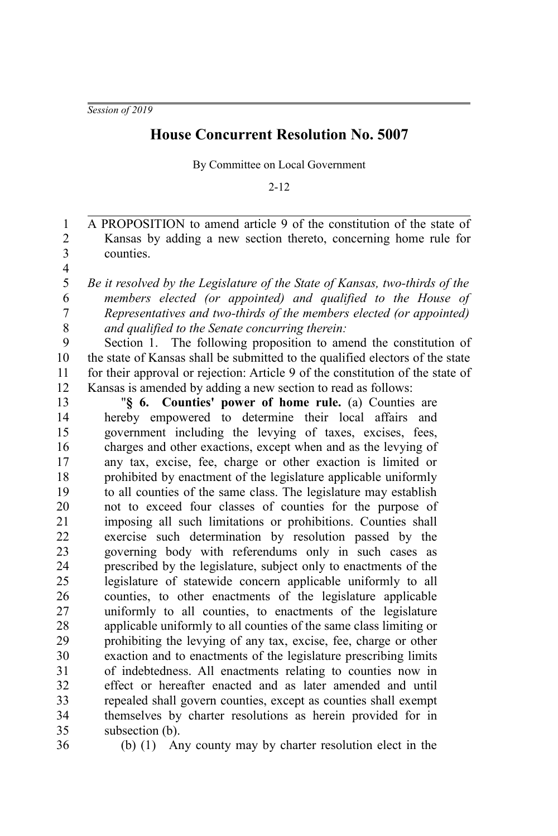## **House Concurrent Resolution No. 5007**

By Committee on Local Government

2-12

A PROPOSITION to amend article 9 of the constitution of the state of Kansas by adding a new section thereto, concerning home rule for counties. 1 2 3

4 5

6 7 8 *Be it resolved by the Legislature of the State of Kansas, two-thirds of the members elected (or appointed) and qualified to the House of Representatives and two-thirds of the members elected (or appointed) and qualified to the Senate concurring therein:*

Section 1. The following proposition to amend the constitution of the state of Kansas shall be submitted to the qualified electors of the state for their approval or rejection: Article 9 of the constitution of the state of Kansas is amended by adding a new section to read as follows:  $\mathbf Q$ 10 11 12

"**§ 6. Counties' power of home rule.** (a) Counties are hereby empowered to determine their local affairs and government including the levying of taxes, excises, fees, charges and other exactions, except when and as the levying of any tax, excise, fee, charge or other exaction is limited or prohibited by enactment of the legislature applicable uniformly to all counties of the same class. The legislature may establish not to exceed four classes of counties for the purpose of imposing all such limitations or prohibitions. Counties shall exercise such determination by resolution passed by the governing body with referendums only in such cases as prescribed by the legislature, subject only to enactments of the legislature of statewide concern applicable uniformly to all counties, to other enactments of the legislature applicable uniformly to all counties, to enactments of the legislature applicable uniformly to all counties of the same class limiting or prohibiting the levying of any tax, excise, fee, charge or other exaction and to enactments of the legislature prescribing limits of indebtedness. All enactments relating to counties now in effect or hereafter enacted and as later amended and until repealed shall govern counties, except as counties shall exempt themselves by charter resolutions as herein provided for in subsection (b). 13 14 15 16 17 18 19 20 21 22 23  $24$ 25 26 27 28 29 30 31 32 33 34 35

36

(b) (1) Any county may by charter resolution elect in the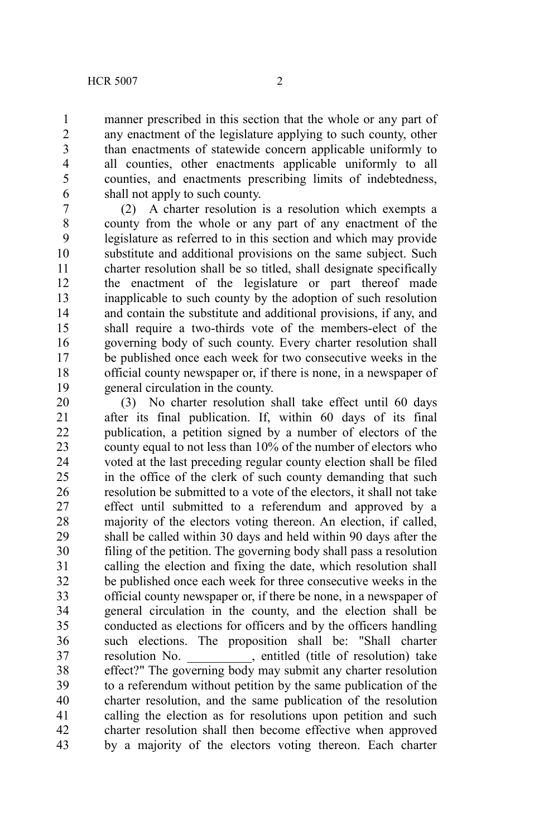manner prescribed in this section that the whole or any part of any enactment of the legislature applying to such county, other than enactments of statewide concern applicable uniformly to all counties, other enactments applicable uniformly to all counties, and enactments prescribing limits of indebtedness, shall not apply to such county.

(2) A charter resolution is a resolution which exempts a county from the whole or any part of any enactment of the legislature as referred to in this section and which may provide substitute and additional provisions on the same subject. Such charter resolution shall be so titled, shall designate specifically the enactment of the legislature or part thereof made inapplicable to such county by the adoption of such resolution and contain the substitute and additional provisions, if any, and shall require a two-thirds vote of the members-elect of the governing body of such county. Every charter resolution shall be published once each week for two consecutive weeks in the official county newspaper or, if there is none, in a newspaper of general circulation in the county. 7 8 9 10 11 12 13 14 15 16 17 18 19

(3) No charter resolution shall take effect until 60 days after its final publication. If, within 60 days of its final publication, a petition signed by a number of electors of the county equal to not less than 10% of the number of electors who voted at the last preceding regular county election shall be filed in the office of the clerk of such county demanding that such resolution be submitted to a vote of the electors, it shall not take effect until submitted to a referendum and approved by a majority of the electors voting thereon. An election, if called, shall be called within 30 days and held within 90 days after the filing of the petition. The governing body shall pass a resolution calling the election and fixing the date, which resolution shall be published once each week for three consecutive weeks in the official county newspaper or, if there be none, in a newspaper of general circulation in the county, and the election shall be conducted as elections for officers and by the officers handling such elections. The proposition shall be: "Shall charter resolution No. , entitled (title of resolution) take effect?" The governing body may submit any charter resolution to a referendum without petition by the same publication of the charter resolution, and the same publication of the resolution calling the election as for resolutions upon petition and such charter resolution shall then become effective when approved by a majority of the electors voting thereon. Each charter 20 21 22 23 24 25 26 27 28 29 30 31 32 33 34 35 36 37 38 39 40 41 42 43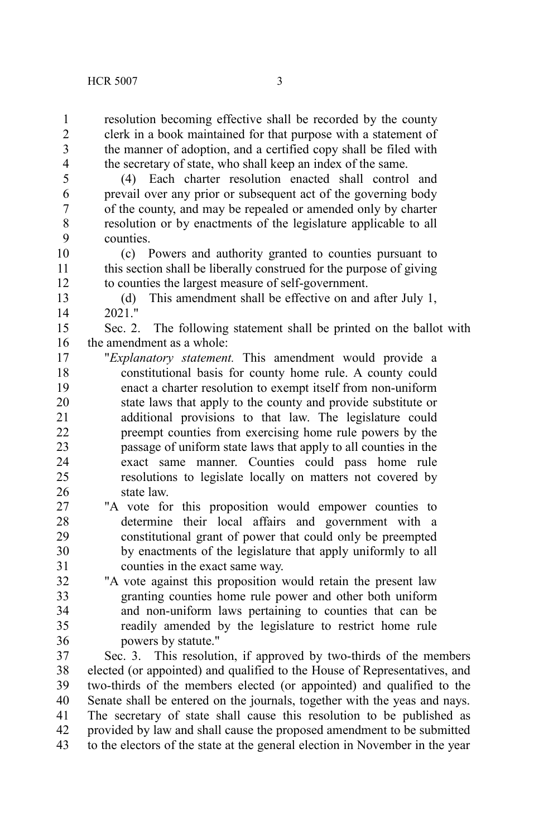resolution becoming effective shall be recorded by the county clerk in a book maintained for that purpose with a statement of the manner of adoption, and a certified copy shall be filed with the secretary of state, who shall keep an index of the same. 1 2 3 4

5

(4) Each charter resolution enacted shall control and prevail over any prior or subsequent act of the governing body of the county, and may be repealed or amended only by charter resolution or by enactments of the legislature applicable to all counties. 6 7 8 9

(c) Powers and authority granted to counties pursuant to this section shall be liberally construed for the purpose of giving to counties the largest measure of self-government. 10 11 12

(d) This amendment shall be effective on and after July 1, 2021." 13 14

Sec. 2. The following statement shall be printed on the ballot with the amendment as a whole: 15 16

- "*Explanatory statement.* This amendment would provide a constitutional basis for county home rule. A county could enact a charter resolution to exempt itself from non-uniform state laws that apply to the county and provide substitute or additional provisions to that law. The legislature could preempt counties from exercising home rule powers by the passage of uniform state laws that apply to all counties in the exact same manner. Counties could pass home rule resolutions to legislate locally on matters not covered by state law. 17 18 19 20 21 22 23  $24$ 25 26
- "A vote for this proposition would empower counties to determine their local affairs and government with a constitutional grant of power that could only be preempted by enactments of the legislature that apply uniformly to all counties in the exact same way. 27 28 29 30 31
- "A vote against this proposition would retain the present law granting counties home rule power and other both uniform and non-uniform laws pertaining to counties that can be readily amended by the legislature to restrict home rule powers by statute." 32 33 34 35 36

Sec. 3. This resolution, if approved by two-thirds of the members elected (or appointed) and qualified to the House of Representatives, and two-thirds of the members elected (or appointed) and qualified to the Senate shall be entered on the journals, together with the yeas and nays. The secretary of state shall cause this resolution to be published as provided by law and shall cause the proposed amendment to be submitted to the electors of the state at the general election in November in the year 37 38 39 40 41 42 43